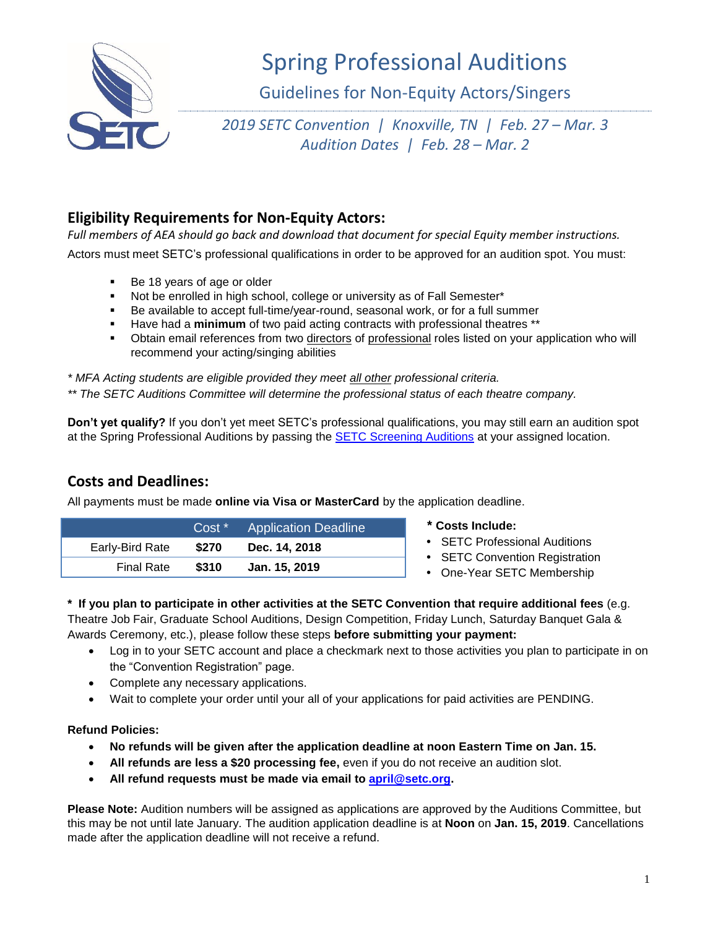

# Spring Professional Auditions

Guidelines for Non-Equity Actors/Singers

*2019 SETC Convention | Knoxville, TN | Feb. 27 – Mar. 3 Audition Dates | Feb. 28 – Mar. 2*

## **Eligibility Requirements for Non-Equity Actors:**

Full members of AEA should go back and download that document for special Equity member instructions. Actors must meet SETC's professional qualifications in order to be approved for an audition spot. You must:

- Be 18 years of age or older
- Not be enrolled in high school, college or university as of Fall Semester\*
- Be available to accept full-time/year-round, seasonal work, or for a full summer
- Have had a **minimum** of two paid acting contracts with professional theatres \*\*
- Obtain email references from two directors of professional roles listed on your application who will recommend your acting/singing abilities

*\* MFA Acting students are eligible provided they meet all other professional criteria.*

*\*\* The SETC Auditions Committee will determine the professional status of each theatre company.*

**Don't yet qualify?** If you don't yet meet SETC's professional qualifications, you may still earn an audition spot at the Spring Professional Auditions by passing the [SETC Screening Auditions](https://www.setc.org/auditions/setc-screenings/) at your assigned location.

## **Costs and Deadlines:**

All payments must be made **online via Visa or MasterCard** by the application deadline.

|                   | $Cost *$ | <b>Application Deadline</b> |
|-------------------|----------|-----------------------------|
| Early-Bird Rate   | \$270    | Dec. 14, 2018               |
| <b>Final Rate</b> | \$310    | Jan. 15, 2019               |

- **\* Costs Include:**
- SETC Professional Auditions
- SETC Convention Registration
- One-Year SETC Membership

#### **\* If you plan to participate in other activities at the SETC Convention that require additional fees** (e.g.

Theatre Job Fair, Graduate School Auditions, Design Competition, Friday Lunch, Saturday Banquet Gala & Awards Ceremony, etc.), please follow these steps **before submitting your payment:**

- Log in to your SETC account and place a checkmark next to those activities you plan to participate in on the "Convention Registration" page.
- Complete any necessary applications.
- Wait to complete your order until your all of your applications for paid activities are PENDING.

#### **Refund Policies:**

- **No refunds will be given after the application deadline at noon Eastern Time on Jan. 15.**
- **All refunds are less a \$20 processing fee,** even if you do not receive an audition slot.
- **All refund requests must be made via email to [april@setc.org.](mailto:april@setc.org)**

**Please Note:** Audition numbers will be assigned as applications are approved by the Auditions Committee, but this may be not until late January. The audition application deadline is at **Noon** on **Jan. 15, 2019**. Cancellations made after the application deadline will not receive a refund.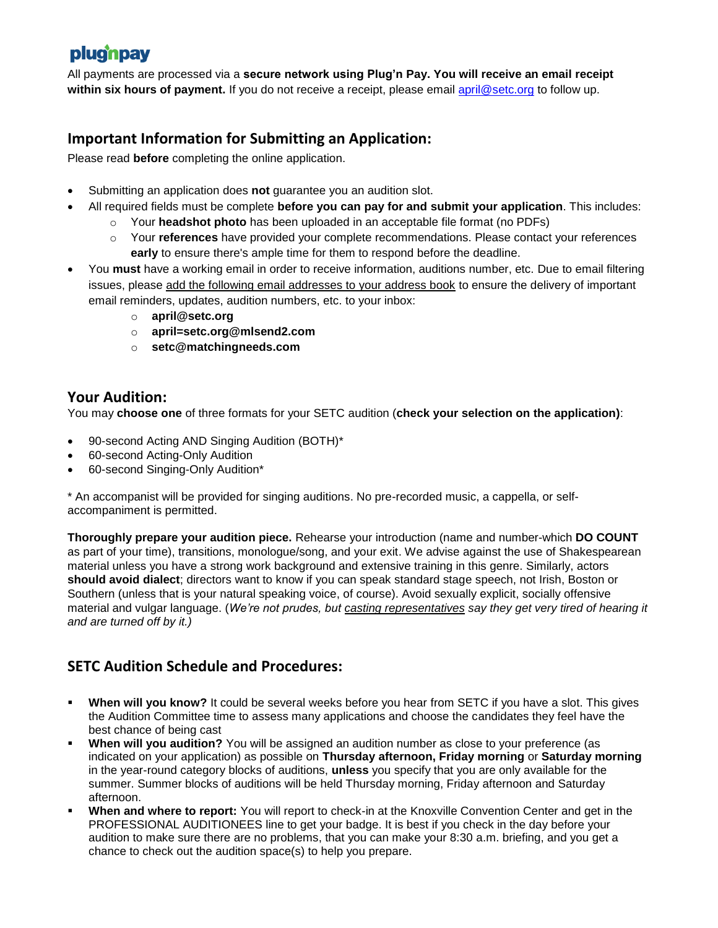## plugnpay

All payments are processed via a **secure network using Plug'n Pay. You will receive an email receipt within six hours of payment.** If you do not receive a receipt, please email [april@setc.org](mailto:april@setc.org) to follow up.

## **Important Information for Submitting an Application:**

Please read **before** completing the online application.

- Submitting an application does **not** guarantee you an audition slot.
- All required fields must be complete **before you can pay for and submit your application**. This includes:
	- o Your **headshot photo** has been uploaded in an acceptable file format (no PDFs)
	- o Your **references** have provided your complete recommendations. Please contact your references **early** to ensure there's ample time for them to respond before the deadline.
- You **must** have a working email in order to receive information, auditions number, etc. Due to email filtering issues, please add the following email addresses to your address book to ensure the delivery of important email reminders, updates, audition numbers, etc. to your inbox:
	- o **[april@setc.org](mailto:april@setc.org)**
	- o **april=setc.org@mlsend2.com**
	- o **[setc@matchingneeds.com](mailto:setc@matchingneeds.com)**

### **Your Audition:**

You may **choose one** of three formats for your SETC audition (**check your selection on the application)**:

- 90-second Acting AND Singing Audition (BOTH)\*
- 60-second Acting-Only Audition
- 60-second Singing-Only Audition\*

\* An accompanist will be provided for singing auditions. No pre-recorded music, a cappella, or selfaccompaniment is permitted.

**Thoroughly prepare your audition piece.** Rehearse your introduction (name and number-which **DO COUNT** as part of your time), transitions, monologue/song, and your exit. We advise against the use of Shakespearean material unless you have a strong work background and extensive training in this genre. Similarly, actors **should avoid dialect**; directors want to know if you can speak standard stage speech, not Irish, Boston or Southern (unless that is your natural speaking voice, of course). Avoid sexually explicit, socially offensive material and vulgar language. (*We're not prudes, but casting representatives say they get very tired of hearing it and are turned off by it.)*

## **SETC Audition Schedule and Procedures:**

- **When will you know?** It could be several weeks before you hear from SETC if you have a slot. This gives the Audition Committee time to assess many applications and choose the candidates they feel have the best chance of being cast
- **When will you audition?** You will be assigned an audition number as close to your preference (as indicated on your application) as possible on **Thursday afternoon, Friday morning** or **Saturday morning** in the year-round category blocks of auditions, **unless** you specify that you are only available for the summer. Summer blocks of auditions will be held Thursday morning, Friday afternoon and Saturday afternoon.
- **When and where to report:** You will report to check-in at the Knoxville Convention Center and get in the PROFESSIONAL AUDITIONEES line to get your badge. It is best if you check in the day before your audition to make sure there are no problems, that you can make your 8:30 a.m. briefing, and you get a chance to check out the audition space(s) to help you prepare.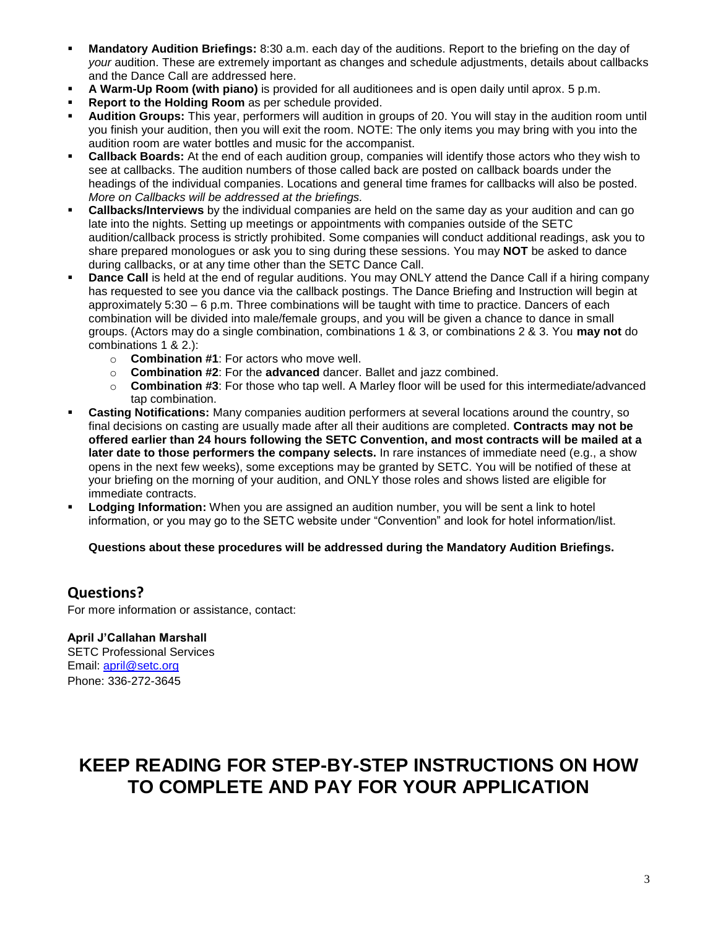- **Mandatory Audition Briefings:** 8:30 a.m. each day of the auditions. Report to the briefing on the day of *your* audition. These are extremely important as changes and schedule adjustments, details about callbacks and the Dance Call are addressed here.
- **A Warm-Up Room (with piano)** is provided for all auditionees and is open daily until aprox. 5 p.m.
- **Report to the Holding Room** as per schedule provided.
- **Audition Groups:** This year, performers will audition in groups of 20. You will stay in the audition room until you finish your audition, then you will exit the room. NOTE: The only items you may bring with you into the audition room are water bottles and music for the accompanist.
- **Callback Boards:** At the end of each audition group, companies will identify those actors who they wish to see at callbacks. The audition numbers of those called back are posted on callback boards under the headings of the individual companies. Locations and general time frames for callbacks will also be posted. *More on Callbacks will be addressed at the briefings.*
- **Callbacks/Interviews** by the individual companies are held on the same day as your audition and can go late into the nights. Setting up meetings or appointments with companies outside of the SETC audition/callback process is strictly prohibited. Some companies will conduct additional readings, ask you to share prepared monologues or ask you to sing during these sessions. You may **NOT** be asked to dance during callbacks, or at any time other than the SETC Dance Call.
- **Dance Call** is held at the end of regular auditions. You may ONLY attend the Dance Call if a hiring company has requested to see you dance via the callback postings. The Dance Briefing and Instruction will begin at approximately 5:30 – 6 p.m. Three combinations will be taught with time to practice. Dancers of each combination will be divided into male/female groups, and you will be given a chance to dance in small groups. (Actors may do a single combination, combinations 1 & 3, or combinations 2 & 3. You **may not** do combinations 1 & 2.):
	- o **Combination #1**: For actors who move well.
	- o **Combination #2**: For the **advanced** dancer. Ballet and jazz combined.
	- o **Combination #3**: For those who tap well. A Marley floor will be used for this intermediate/advanced tap combination.
- **Casting Notifications:** Many companies audition performers at several locations around the country, so final decisions on casting are usually made after all their auditions are completed. **Contracts may not be offered earlier than 24 hours following the SETC Convention, and most contracts will be mailed at a later date to those performers the company selects.** In rare instances of immediate need (e.g., a show opens in the next few weeks), some exceptions may be granted by SETC. You will be notified of these at your briefing on the morning of your audition, and ONLY those roles and shows listed are eligible for immediate contracts.
- **Lodging Information:** When you are assigned an audition number, you will be sent a link to hotel information, or you may go to the SETC website under "Convention" and look for hotel information/list.

#### **Questions about these procedures will be addressed during the Mandatory Audition Briefings.**

### **Questions?**

For more information or assistance, contact:

#### **April J'Callahan Marshall** SETC Professional Services Email: [april@setc.org](mailto:april@setc.org) Phone: 336-272-3645

## **KEEP READING FOR STEP-BY-STEP INSTRUCTIONS ON HOW TO COMPLETE AND PAY FOR YOUR APPLICATION**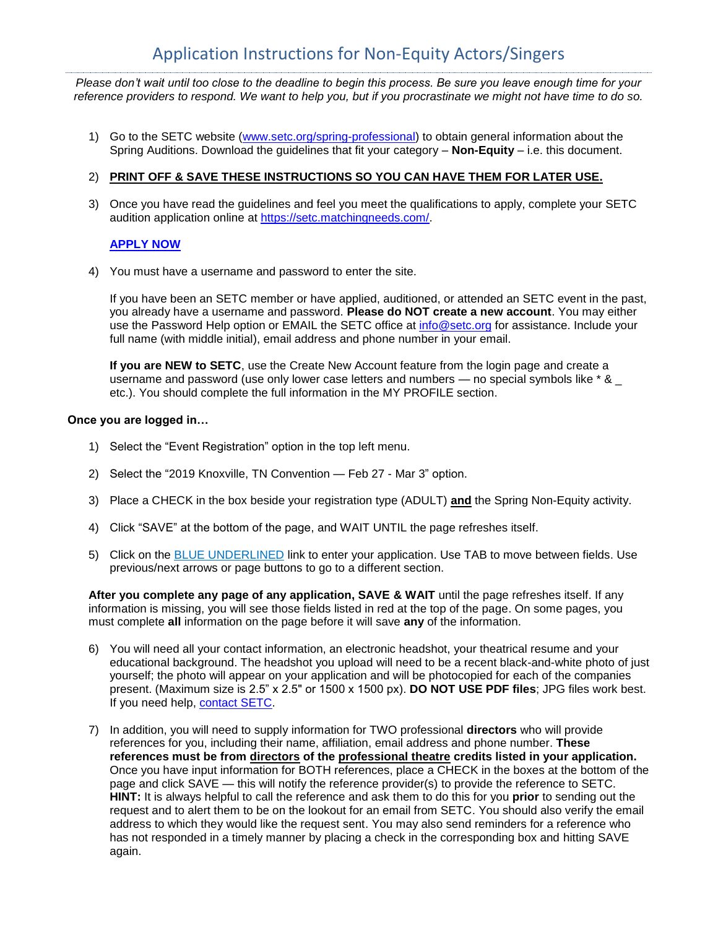*Please don't wait until too close to the deadline to begin this process. Be sure you leave enough time for your reference providers to respond. We want to help you, but if you procrastinate we might not have time to do so.*

1) Go to the SETC website [\(www.setc.org/spring-professional\)](https://www.setc.org/spring-professional) to obtain general information about the Spring Auditions. Download the guidelines that fit your category – **Non-Equity** – i.e. this document.

#### 2) **PRINT OFF & SAVE THESE INSTRUCTIONS SO YOU CAN HAVE THEM FOR LATER USE.**

3) Once you have read the guidelines and feel you meet the qualifications to apply, complete your SETC audition application online at [https://setc.matchingneeds.com/.](https://setc.matchingneeds.com/)

#### **[APPLY NOW](https://setc.matchingneeds.com/)**

4) You must have a username and password to enter the site.

If you have been an SETC member or have applied, auditioned, or attended an SETC event in the past, you already have a username and password. **Please do NOT create a new account**. You may either use the Password Help option or EMAIL the SETC office at [info@setc.org](mailto:info@setc.org) for assistance. Include your full name (with middle initial), email address and phone number in your email.

**If you are NEW to SETC**, use the Create New Account feature from the login page and create a username and password (use only lower case letters and numbers  $-$  no special symbols like  $*$  &  $$ etc.). You should complete the full information in the MY PROFILE section.

#### **Once you are logged in…**

- 1) Select the "Event Registration" option in the top left menu.
- 2) Select the "2019 Knoxville, TN Convention Feb 27 Mar 3" option.
- 3) Place a CHECK in the box beside your registration type (ADULT) **and** the Spring Non-Equity activity.
- 4) Click "SAVE" at the bottom of the page, and WAIT UNTIL the page refreshes itself.
- 5) Click on the **BLUE UNDERLINED** link to enter your application. Use TAB to move between fields. Use previous/next arrows or page buttons to go to a different section.

**After you complete any page of any application, SAVE & WAIT** until the page refreshes itself. If any information is missing, you will see those fields listed in red at the top of the page. On some pages, you must complete **all** information on the page before it will save **any** of the information.

- 6) You will need all your contact information, an electronic headshot, your theatrical resume and your educational background. The headshot you upload will need to be a recent black-and-white photo of just yourself; the photo will appear on your application and will be photocopied for each of the companies present. (Maximum size is 2.5" x 2.5" or 1500 x 1500 px). **DO NOT USE PDF files**; JPG files work best. If you need help, [contact SETC.](mailto:april@setc.org)
- 7) In addition, you will need to supply information for TWO professional **directors** who will provide references for you, including their name, affiliation, email address and phone number. **These references must be from directors of the professional theatre credits listed in your application.**  Once you have input information for BOTH references, place a CHECK in the boxes at the bottom of the page and click SAVE — this will notify the reference provider(s) to provide the reference to SETC. **HINT:** It is always helpful to call the reference and ask them to do this for you **prior** to sending out the request and to alert them to be on the lookout for an email from SETC. You should also verify the email address to which they would like the request sent. You may also send reminders for a reference who has not responded in a timely manner by placing a check in the corresponding box and hitting SAVE again.